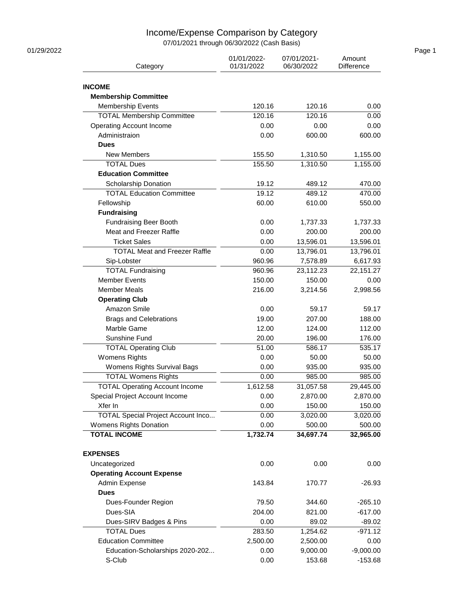## Income/Expense Comparison by Category

07/01/2021 through 06/30/2022 (Cash Basis)

| Category                                       | 01/01/2022-<br>01/31/2022 | 07/01/2021-<br>Amount<br>06/30/2022<br>Difference |             |
|------------------------------------------------|---------------------------|---------------------------------------------------|-------------|
| <b>INCOME</b>                                  |                           |                                                   |             |
| <b>Membership Committee</b>                    |                           |                                                   |             |
| <b>Membership Events</b>                       | 120.16                    | 120.16                                            | 0.00        |
| <b>TOTAL Membership Committee</b>              | 120.16                    | 120.16                                            | 0.00        |
| <b>Operating Account Income</b>                | 0.00                      | 0.00                                              | 0.00        |
| Administraion                                  | 0.00                      | 600.00                                            | 600.00      |
| <b>Dues</b>                                    |                           |                                                   |             |
| <b>New Members</b>                             | 155.50                    | 1,310.50                                          | 1,155.00    |
| <b>TOTAL Dues</b>                              | 155.50                    | 1,310.50                                          | 1,155.00    |
| <b>Education Committee</b>                     |                           |                                                   |             |
| Scholarship Donation                           | 19.12                     | 489.12                                            | 470.00      |
| <b>TOTAL Education Committee</b>               | 19.12                     | 489.12                                            | 470.00      |
| Fellowship                                     | 60.00                     | 610.00                                            | 550.00      |
| <b>Fundraising</b>                             |                           |                                                   |             |
|                                                |                           |                                                   |             |
| Fundraising Beer Booth                         | 0.00                      | 1,737.33                                          | 1,737.33    |
| Meat and Freezer Raffle<br><b>Ticket Sales</b> | 0.00                      | 200.00                                            | 200.00      |
|                                                | 0.00                      | 13,596.01                                         | 13,596.01   |
| <b>TOTAL Meat and Freezer Raffle</b>           | 0.00                      | 13,796.01                                         | 13,796.01   |
| Sip-Lobster                                    | 960.96                    | 7,578.89                                          | 6,617.93    |
| <b>TOTAL Fundraising</b>                       | 960.96                    | 23,112.23                                         | 22,151.27   |
| <b>Member Events</b>                           | 150.00                    | 150.00                                            | 0.00        |
| <b>Member Meals</b>                            | 216.00                    | 3,214.56                                          | 2,998.56    |
| <b>Operating Club</b>                          |                           |                                                   |             |
| Amazon Smile                                   | 0.00                      | 59.17                                             | 59.17       |
| <b>Brags and Celebrations</b>                  | 19.00                     | 207.00                                            | 188.00      |
| Marble Game                                    | 12.00                     | 124.00                                            | 112.00      |
| Sunshine Fund                                  | 20.00                     | 196.00                                            | 176.00      |
| <b>TOTAL Operating Club</b>                    | 51.00                     | 586.17                                            | 535.17      |
| <b>Womens Rights</b>                           | 0.00                      | 50.00                                             | 50.00       |
| Womens Rights Survival Bags                    | 0.00                      | 935.00                                            | 935.00      |
| <b>TOTAL Womens Rights</b>                     | 0.00                      | 985.00                                            | 985.00      |
| <b>TOTAL Operating Account Income</b>          | 1,612.58                  | 31,057.58                                         | 29,445.00   |
| Special Project Account Income                 | 0.00                      | 2,870.00                                          | 2,870.00    |
| Xfer In                                        | 0.00                      | 150.00                                            | 150.00      |
| <b>TOTAL Special Project Account Inco</b>      | 0.00                      | 3,020.00                                          | 3,020.00    |
| Womens Rights Donation                         | 0.00                      | 500.00                                            | 500.00      |
| <b>TOTAL INCOME</b>                            | 1,732.74                  | 34,697.74                                         | 32,965.00   |
| <b>EXPENSES</b>                                |                           |                                                   |             |
| Uncategorized                                  | 0.00                      | 0.00                                              | 0.00        |
| <b>Operating Account Expense</b>               |                           |                                                   |             |
| Admin Expense                                  | 143.84                    | 170.77                                            | $-26.93$    |
| <b>Dues</b>                                    |                           |                                                   |             |
| Dues-Founder Region                            | 79.50                     | 344.60                                            | $-265.10$   |
| Dues-SIA                                       | 204.00                    | 821.00                                            | $-617.00$   |
| Dues-SIRV Badges & Pins                        | 0.00                      | 89.02                                             | $-89.02$    |
| <b>TOTAL Dues</b>                              | 283.50                    | 1,254.62                                          | $-971.12$   |
| <b>Education Committee</b>                     | 2,500.00                  | 2,500.00                                          | 0.00        |
| Education-Scholarships 2020-202                | 0.00                      | 9,000.00                                          | $-9,000.00$ |
| S-Club                                         | 0.00                      | 153.68                                            | $-153.68$   |
|                                                |                           |                                                   |             |

01/29/2022 Page 1